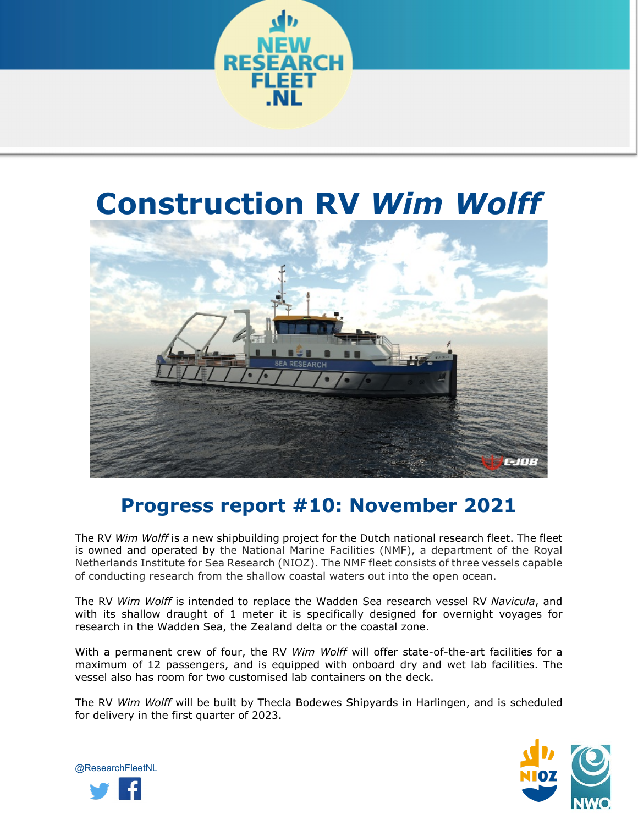

## **Construction RV** *Wim Wolff*



## **Progress report #10: November 2021**

The RV *Wim Wolff* is a new shipbuilding project for the Dutch national research fleet. The fleet is owned and operated by the National Marine Facilities (NMF), a department of the Royal Netherlands Institute for Sea Research (NIOZ). The NMF fleet consists of three vessels capable of conducting research from the shallow coastal waters out into the open ocean.

The RV *Wim Wolff* is intended to replace the Wadden Sea research vessel RV *Navicula*, and with its shallow draught of 1 meter it is specifically designed for overnight voyages for research in the Wadden Sea, the Zealand delta or the coastal zone.

With a permanent crew of four, the RV *Wim Wolff* will offer state-of-the-art facilities for a maximum of 12 passengers, and is equipped with onboard dry and wet lab facilities. The vessel also has room for two customised lab containers on the deck.

The RV *Wim Wolff* will be built by Thecla Bodewes Shipyards in Harlingen, and is scheduled for delivery in the first quarter of 2023.



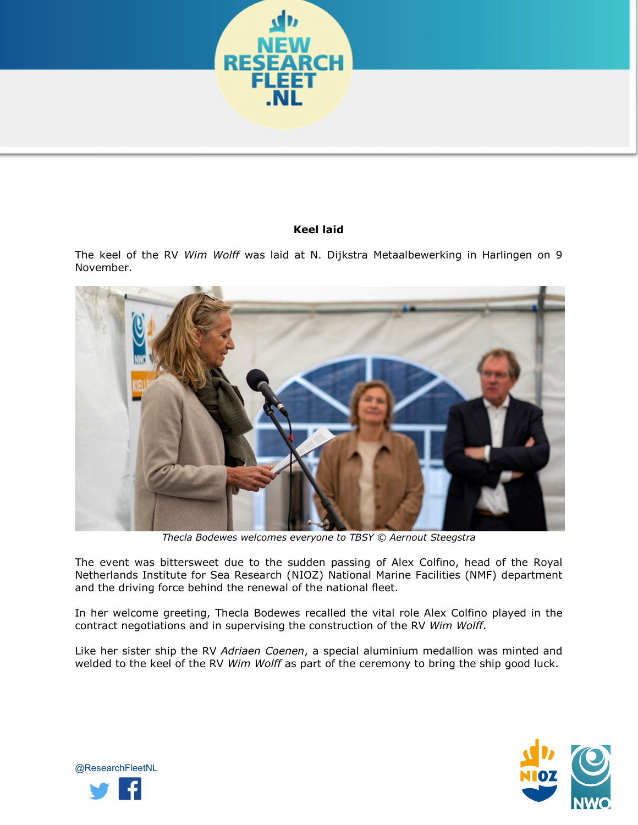

## **Keel laid**

The keel of the RV *Wim Wolff* was laid at N. Dijkstra Metaalbewerking in Harlingen on 9 November.



*Thecla Bodewes welcomes everyone to TBSY © Aernout Steegstra*

The event was bittersweet due to the sudden passing of Alex Colfino, head of the Royal Netherlands Institute for Sea Research (NIOZ) National Marine Facilities (NMF) department and the driving force behind the renewal of the national fleet.

In her welcome greeting, Thecla Bodewes recalled the vital role Alex Colfino played in the contract negotiations and in supervising the construction of the RV *Wim Wolff*.

Like her sister ship the RV *Adriaen Coenen*, a special aluminium medallion was minted and welded to the keel of the RV *Wim Wolff* as part of the ceremony to bring the ship good luck.



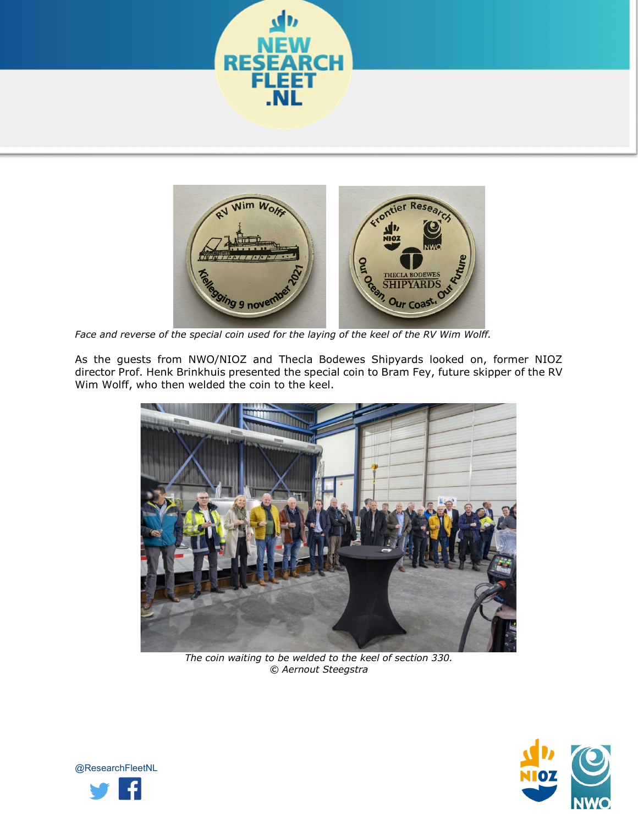



*Face and reverse of the special coin used for the laying of the keel of the RV Wim Wolff.*

As the guests from NWO/NIOZ and Thecla Bodewes Shipyards looked on, former NIOZ director Prof. Henk Brinkhuis presented the special coin to Bram Fey, future skipper of the RV Wim Wolff, who then welded the coin to the keel.



*The coin waiting to be welded to the keel of section 330. © Aernout Steegstra*



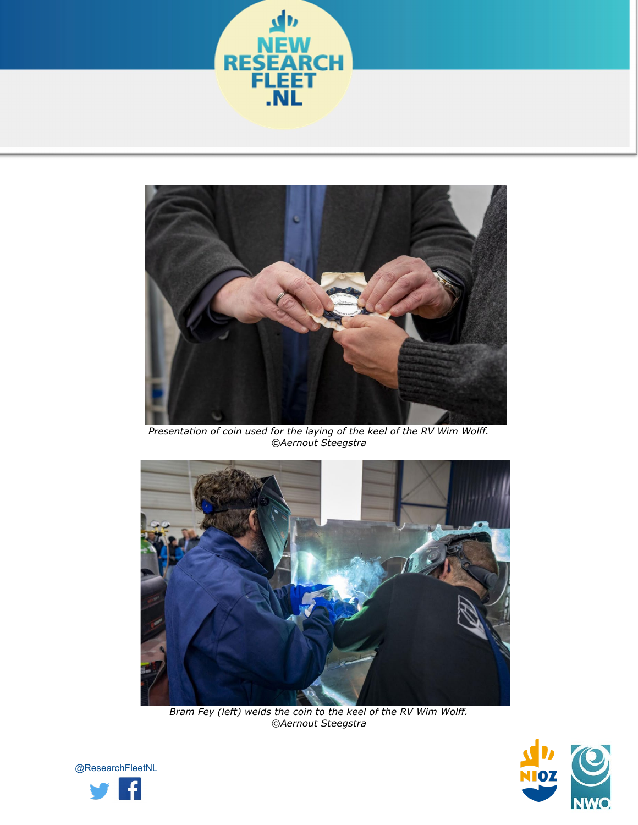



*Presentation of coin used for the laying of the keel of the RV Wim Wolff. ©Aernout Steegstra*



*Bram Fey (left) welds the coin to the keel of the RV Wim Wolff. ©Aernout Steegstra*